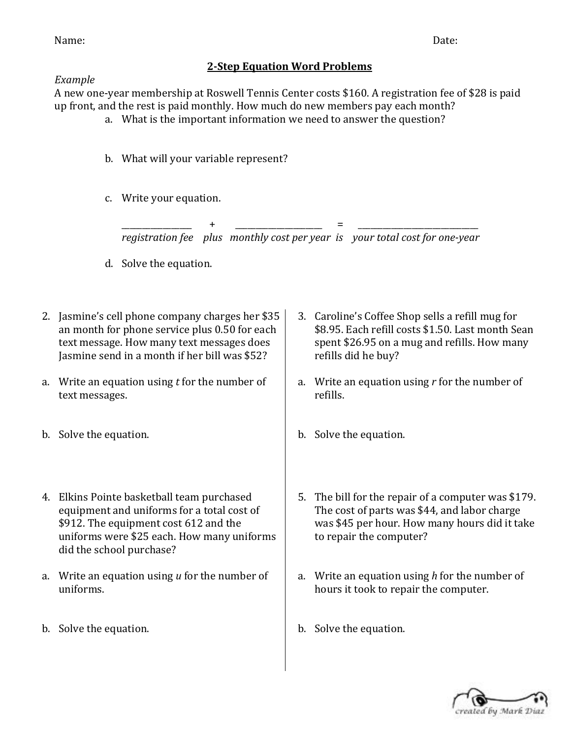Name: Date:

## **2-Step Equation Word Problems**

## *Example*

A new one-year membership at Roswell Tennis Center costs \$160. A registration fee of \$28 is paid up front, and the rest is paid monthly. How much do new members pay each month?

- a. What is the important information we need to answer the question?
- b. What will your variable represent?
- c. Write your equation.

\_\_\_\_\_\_\_\_\_\_\_\_\_\_\_\_\_ + \_\_\_\_\_\_\_\_\_\_\_\_\_\_\_\_\_\_\_\_\_ = \_\_\_\_\_\_\_\_\_\_\_\_\_\_\_\_\_\_\_\_\_\_\_\_\_\_\_\_\_ *registration fee plus monthly cost per year is your total cost for one-year*

- d. Solve the equation.
- 2. Jasmine's cell phone company charges her \$35 an month for phone service plus 0.50 for each text message. How many text messages does Jasmine send in a month if her bill was \$52?
- a. Write an equation using *t* for the number of text messages.
- b. Solve the equation.
- 4. Elkins Pointe basketball team purchased equipment and uniforms for a total cost of \$912. The equipment cost 612 and the uniforms were \$25 each. How many uniforms did the school purchase?
- a. Write an equation using *u* for the number of uniforms.
- b. Solve the equation.
- 3. Caroline's Coffee Shop sells a refill mug for \$8.95. Each refill costs \$1.50. Last month Sean spent \$26.95 on a mug and refills. How many refills did he buy?
- a. Write an equation using *r* for the number of refills.
- b. Solve the equation.
- 5. The bill for the repair of a computer was \$179. The cost of parts was \$44, and labor charge was \$45 per hour. How many hours did it take to repair the computer?
- a. Write an equation using *h* for the number of hours it took to repair the computer.
- b. Solve the equation.

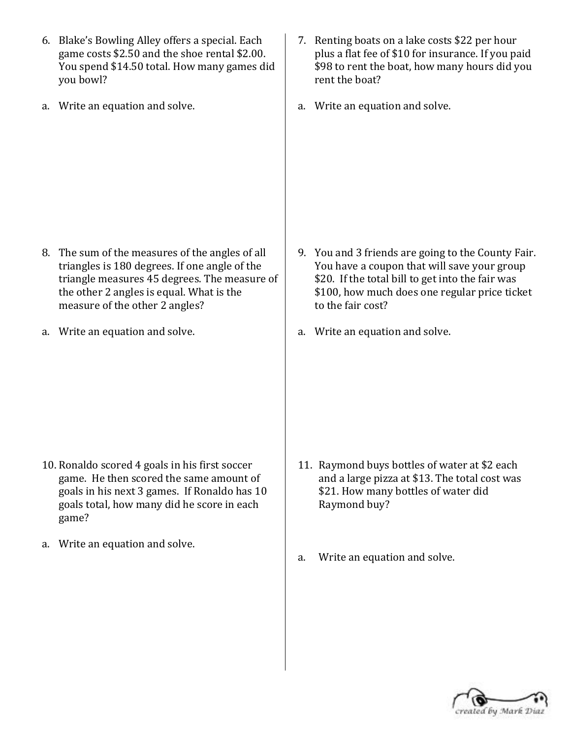- 6. Blake's Bowling Alley offers a special. Each game costs \$2.50 and the shoe rental \$2.00. You spend \$14.50 total. How many games did you bowl?
- a. Write an equation and solve.

- 8. The sum of the measures of the angles of all triangles is 180 degrees. If one angle of the triangle measures 45 degrees. The measure of the other 2 angles is equal. What is the measure of the other 2 angles?
- a. Write an equation and solve.

- 10. Ronaldo scored 4 goals in his first soccer game. He then scored the same amount of goals in his next 3 games. If Ronaldo has 10 goals total, how many did he score in each game?
- a. Write an equation and solve.
- 7. Renting boats on a lake costs \$22 per hour plus a flat fee of \$10 for insurance. If you paid \$98 to rent the boat, how many hours did you rent the boat?
- a. Write an equation and solve.

- 9. You and 3 friends are going to the County Fair. You have a coupon that will save your group \$20. If the total bill to get into the fair was \$100, how much does one regular price ticket to the fair cost?
- a. Write an equation and solve.

- 11. Raymond buys bottles of water at \$2 each and a large pizza at \$13. The total cost was \$21. How many bottles of water did Raymond buy?
- a. Write an equation and solve.